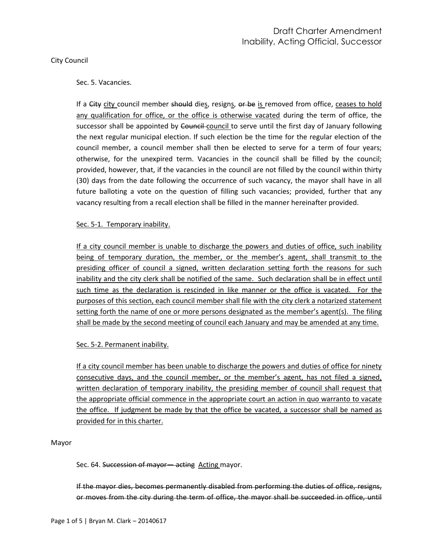#### City Council

### Sec. 5. Vacancies.

If a City city council member should dies, resigns, or be is removed from office, ceases to hold any qualification for office, or the office is otherwise vacated during the term of office, the successor shall be appointed by Council-council to serve until the first day of January following the next regular municipal election. If such election be the time for the regular election of the council member, a council member shall then be elected to serve for a term of four years; otherwise, for the unexpired term. Vacancies in the council shall be filled by the council; provided, however, that, if the vacancies in the council are not filled by the council within thirty (30) days from the date following the occurrence of such vacancy, the mayor shall have in all future balloting a vote on the question of filling such vacancies; provided, further that any vacancy resulting from a recall election shall be filled in the manner hereinafter provided.

### Sec. 5-1. Temporary inability.

If a city council member is unable to discharge the powers and duties of office, such inability being of temporary duration, the member, or the member's agent, shall transmit to the presiding officer of council a signed, written declaration setting forth the reasons for such inability and the city clerk shall be notified of the same. Such declaration shall be in effect until such time as the declaration is rescinded in like manner or the office is vacated. For the purposes of this section, each council member shall file with the city clerk a notarized statement setting forth the name of one or more persons designated as the member's agent(s). The filing shall be made by the second meeting of council each January and may be amended at any time.

### Sec. 5-2. Permanent inability.

If a city council member has been unable to discharge the powers and duties of office for ninety consecutive days, and the council member, or the member's agent, has not filed a signed, written declaration of temporary inability, the presiding member of council shall request that the appropriate official commence in the appropriate court an action in quo warranto to vacate the office. If judgment be made by that the office be vacated, a successor shall be named as provided for in this charter.

#### Mayor

Sec. 64. Succession of mayor— acting Acting mayor.

If the mayor dies, becomes permanently disabled from performing the duties of office, resigns, or moves from the city during the term of office, the mayor shall be succeeded in office, until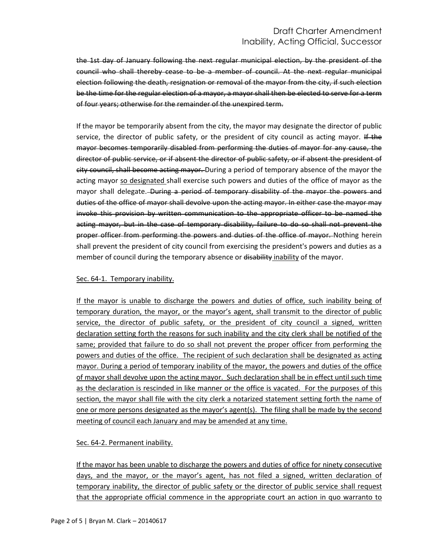# Draft Charter Amendment Inability, Acting Official, Successor

the 1st day of January following the next regular municipal election, by the president of the council who shall thereby cease to be a member of council. At the next regular municipal election following the death, resignation or removal of the mayor from the city, if such election be the time for the regular election of a mayor, a mayor shall then be elected to serve for a term of four years; otherwise for the remainder of the unexpired term.

If the mayor be temporarily absent from the city, the mayor may designate the director of public service, the director of public safety, or the president of city council as acting mayor. If the mayor becomes temporarily disabled from performing the duties of mayor for any cause, the director of public service, or if absent the director of public safety, or if absent the president of city council, shall become acting mayor. During a period of temporary absence of the mayor the acting mayor so designated shall exercise such powers and duties of the office of mayor as the mayor shall delegate. During a period of temporary disability of the mayor the powers and duties of the office of mayor shall devolve upon the acting mayor. In either case the mayor may invoke this provision by written communication to the appropriate officer to be named the acting mayor, but in the case of temporary disability, failure to do so shall not prevent the proper officer from performing the powers and duties of the office of mayor. Nothing herein shall prevent the president of city council from exercising the president's powers and duties as a member of council during the temporary absence or disability inability of the mayor.

## Sec. 64-1. Temporary inability.

If the mayor is unable to discharge the powers and duties of office, such inability being of temporary duration, the mayor, or the mayor's agent, shall transmit to the director of public service, the director of public safety, or the president of city council a signed, written declaration setting forth the reasons for such inability and the city clerk shall be notified of the same; provided that failure to do so shall not prevent the proper officer from performing the powers and duties of the office. The recipient of such declaration shall be designated as acting mayor. During a period of temporary inability of the mayor, the powers and duties of the office of mayor shall devolve upon the acting mayor. Such declaration shall be in effect until such time as the declaration is rescinded in like manner or the office is vacated. For the purposes of this section, the mayor shall file with the city clerk a notarized statement setting forth the name of one or more persons designated as the mayor's agent(s). The filing shall be made by the second meeting of council each January and may be amended at any time.

# Sec. 64-2. Permanent inability.

If the mayor has been unable to discharge the powers and duties of office for ninety consecutive days, and the mayor, or the mayor's agent, has not filed a signed, written declaration of temporary inability, the director of public safety or the director of public service shall request that the appropriate official commence in the appropriate court an action in quo warranto to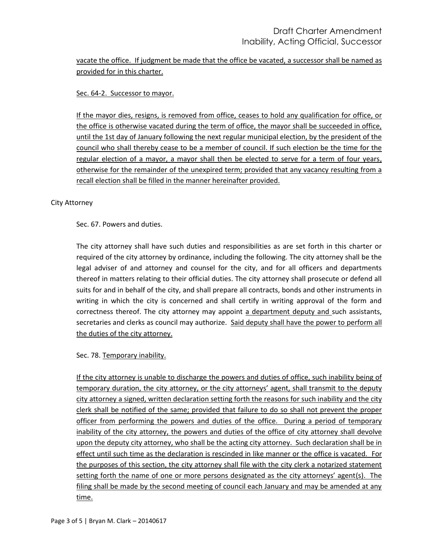vacate the office. If judgment be made that the office be vacated, a successor shall be named as provided for in this charter.

# Sec. 64-2. Successor to mayor.

If the mayor dies, resigns, is removed from office, ceases to hold any qualification for office, or the office is otherwise vacated during the term of office, the mayor shall be succeeded in office, until the 1st day of January following the next regular municipal election, by the president of the council who shall thereby cease to be a member of council. If such election be the time for the regular election of a mayor, a mayor shall then be elected to serve for a term of four years, otherwise for the remainder of the unexpired term; provided that any vacancy resulting from a recall election shall be filled in the manner hereinafter provided.

### City Attorney

Sec. 67. Powers and duties.

The city attorney shall have such duties and responsibilities as are set forth in this charter or required of the city attorney by ordinance, including the following. The city attorney shall be the legal adviser of and attorney and counsel for the city, and for all officers and departments thereof in matters relating to their official duties. The city attorney shall prosecute or defend all suits for and in behalf of the city, and shall prepare all contracts, bonds and other instruments in writing in which the city is concerned and shall certify in writing approval of the form and correctness thereof. The city attorney may appoint a department deputy and such assistants, secretaries and clerks as council may authorize. Said deputy shall have the power to perform all the duties of the city attorney.

# Sec. 78. Temporary inability.

If the city attorney is unable to discharge the powers and duties of office, such inability being of temporary duration, the city attorney, or the city attorneys' agent, shall transmit to the deputy city attorney a signed, written declaration setting forth the reasons for such inability and the city clerk shall be notified of the same; provided that failure to do so shall not prevent the proper officer from performing the powers and duties of the office. During a period of temporary inability of the city attorney, the powers and duties of the office of city attorney shall devolve upon the deputy city attorney, who shall be the acting city attorney. Such declaration shall be in effect until such time as the declaration is rescinded in like manner or the office is vacated. For the purposes of this section, the city attorney shall file with the city clerk a notarized statement setting forth the name of one or more persons designated as the city attorneys' agent(s). The filing shall be made by the second meeting of council each January and may be amended at any time.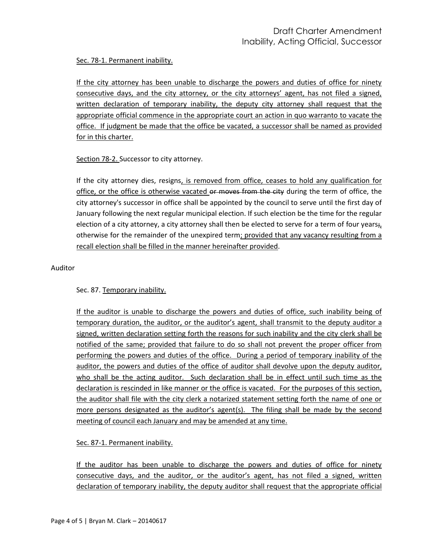Sec. 78-1. Permanent inability.

If the city attorney has been unable to discharge the powers and duties of office for ninety consecutive days, and the city attorney, or the city attorneys' agent, has not filed a signed, written declaration of temporary inability, the deputy city attorney shall request that the appropriate official commence in the appropriate court an action in quo warranto to vacate the office. If judgment be made that the office be vacated, a successor shall be named as provided for in this charter.

Section 78-2. Successor to city attorney.

If the city attorney dies, resigns, is removed from office, ceases to hold any qualification for office, or the office is otherwise vacated or moves from the city during the term of office, the city attorney's successor in office shall be appointed by the council to serve until the first day of January following the next regular municipal election. If such election be the time for the regular election of a city attorney, a city attorney shall then be elected to serve for a term of four years $_{i}$ , otherwise for the remainder of the unexpired term; provided that any vacancy resulting from a recall election shall be filled in the manner hereinafter provided.

Auditor

Sec. 87. Temporary inability.

If the auditor is unable to discharge the powers and duties of office, such inability being of temporary duration, the auditor, or the auditor's agent, shall transmit to the deputy auditor a signed, written declaration setting forth the reasons for such inability and the city clerk shall be notified of the same; provided that failure to do so shall not prevent the proper officer from performing the powers and duties of the office. During a period of temporary inability of the auditor, the powers and duties of the office of auditor shall devolve upon the deputy auditor, who shall be the acting auditor. Such declaration shall be in effect until such time as the declaration is rescinded in like manner or the office is vacated. For the purposes of this section, the auditor shall file with the city clerk a notarized statement setting forth the name of one or more persons designated as the auditor's agent(s). The filing shall be made by the second meeting of council each January and may be amended at any time.

Sec. 87-1. Permanent inability.

If the auditor has been unable to discharge the powers and duties of office for ninety consecutive days, and the auditor, or the auditor's agent, has not filed a signed, written declaration of temporary inability, the deputy auditor shall request that the appropriate official